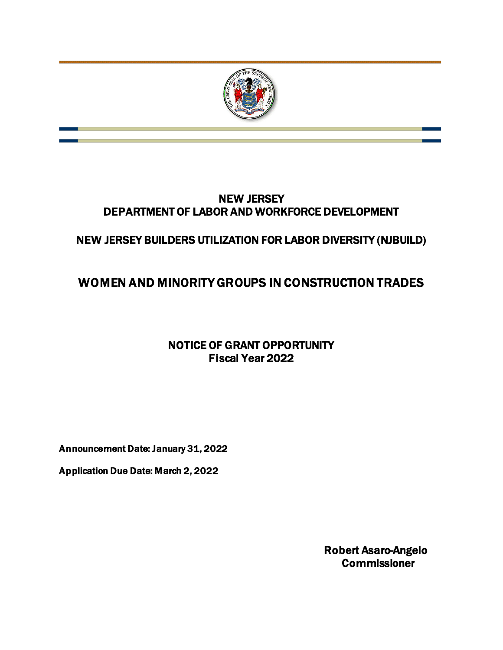

# NEW JERSEY DEPARTMENT OF LABOR AND WORKFORCE DEVELOPMENT

# NEW JERSEY BUILDERS UTILIZATION FOR LABOR DIVERSITY (NJBUILD)

# WOMEN AND MINORITY GROUPS IN CONSTRUCTION TRADES

# NOTICE OF GRANT OPPORTUNITY Fiscal Year 2022

Announcement Date: January 31, 2022

Application Due Date: March 2, 2022

Robert Asaro-Angelo **Commissioner**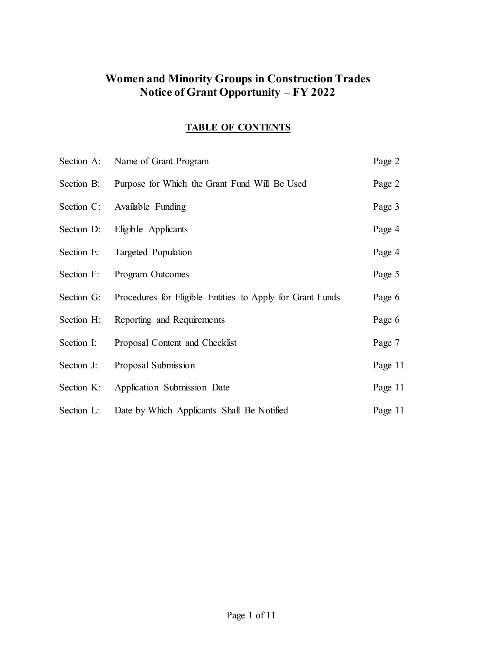# **Women and Minority Groups in Construction Trades Notice of Grant Opportunity – FY 2022**

# **TABLE OF CONTENTS**

| Section A: | Name of Grant Program                                     | Page 2  |
|------------|-----------------------------------------------------------|---------|
| Section B: | Purpose for Which the Grant Fund Will Be Used             | Page 2  |
| Section C: | Available Funding                                         | Page 3  |
| Section D: | Eligible Applicants                                       | Page 4  |
| Section E: | Targeted Population                                       | Page 4  |
| Section F: | Program Outcomes                                          | Page 5  |
| Section G: | Procedures for Eligible Entities to Apply for Grant Funds | Page 6  |
| Section H: | Reporting and Requirements                                | Page 6  |
| Section I: | Proposal Content and Checklist                            | Page 7  |
| Section J: | Proposal Submission                                       | Page 11 |
| Section K: | Application Submission Date                               | Page 11 |
| Section L: | Date by Which Applicants Shall Be Notified                | Page 11 |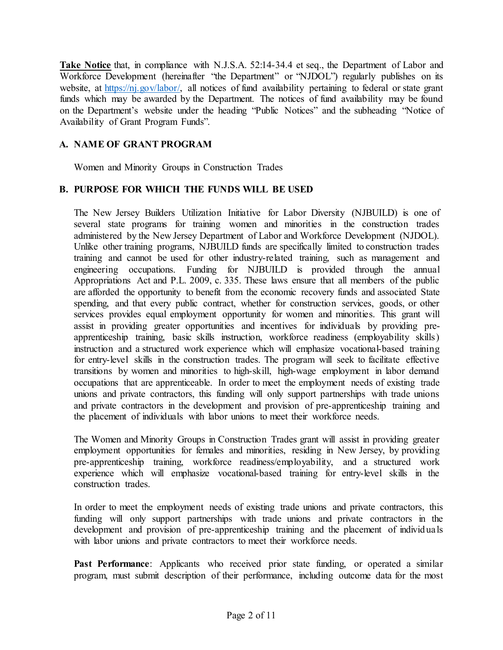**Take Notice** that, in compliance with N.J.S.A. 52:14-34.4 et seq., the Department of Labor and Workforce Development (hereinafter "the Department" or "NJDOL") regularly publishes on its website, at [https://nj.gov/labor/,](https://nj.gov/labor/) all notices of fund availability pertaining to federal or state grant funds which may be awarded by the Department. The notices of fund availability may be found on the Department's website under the heading "Public Notices" and the subheading "Notice of Availability of Grant Program Funds".

# **A. NAME OF GRANT PROGRAM**

Women and Minority Groups in Construction Trades

# **B. PURPOSE FOR WHICH THE FUNDS WILL BE USED**

The New Jersey Builders Utilization Initiative for Labor Diversity (NJBUILD) is one of several state programs for training women and minorities in the construction trades administered by the New Jersey Department of Labor and Workforce Development (NJDOL). Unlike other training programs, NJBUILD funds are specifically limited to construction trades training and cannot be used for other industry-related training, such as management and engineering occupations. Funding for NJBUILD is provided through the annual Appropriations Act and P.L. 2009, c. 335. These laws ensure that all members of the public are afforded the opportunity to benefit from the economic recovery funds and associated State spending, and that every public contract, whether for construction services, goods, or other services provides equal employment opportunity for women and minorities. This grant will assist in providing greater opportunities and incentives for individuals by providing preapprenticeship training, basic skills instruction, workforce readiness (employability skills) instruction and a structured work experience which will emphasize vocational-based training for entry-level skills in the construction trades. The program will seek to facilitate effective transitions by women and minorities to high-skill, high-wage employment in labor demand occupations that are apprenticeable. In order to meet the employment needs of existing trade unions and private contractors, this funding will only support partnerships with trade unions and private contractors in the development and provision of pre-apprenticeship training and the placement of individuals with labor unions to meet their workforce needs.

The Women and Minority Groups in Construction Trades grant will assist in providing greater employment opportunities for females and minorities, residing in New Jersey, by providing pre-apprenticeship training, workforce readiness/employability, and a structured work experience which will emphasize vocational-based training for entry-level skills in the construction trades.

In order to meet the employment needs of existing trade unions and private contractors, this funding will only support partnerships with trade unions and private contractors in the development and provision of pre-apprenticeship training and the placement of individ uals with labor unions and private contractors to meet their workforce needs.

Past Performance: Applicants who received prior state funding, or operated a similar program, must submit description of their performance, including outcome data for the most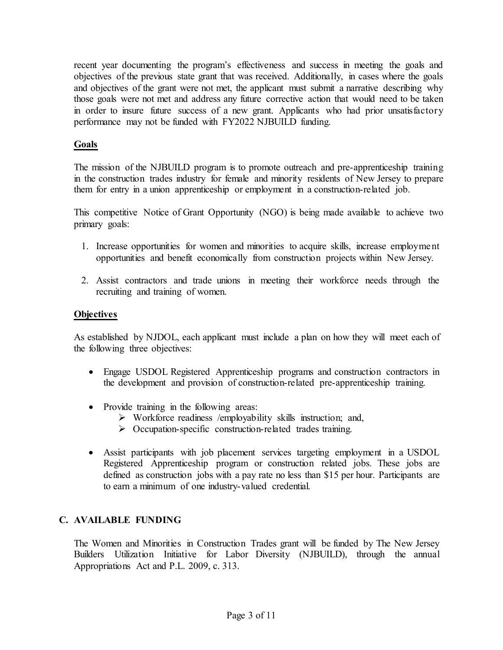recent year documenting the program's effectiveness and success in meeting the goals and objectives of the previous state grant that was received. Additionally, in cases where the goals and objectives of the grant were not met, the applicant must submit a narrative describing why those goals were not met and address any future corrective action that would need to be taken in order to insure future success of a new grant. Applicants who had prior unsatisfactory performance may not be funded with FY2022 NJBUILD funding.

### **Goals**

The mission of the NJBUILD program is to promote outreach and pre-apprenticeship training in the construction trades industry for female and minority residents of New Jersey to prepare them for entry in a union apprenticeship or employment in a construction-related job.

This competitive Notice of Grant Opportunity (NGO) is being made available to achieve two primary goals:

- 1. Increase opportunities for women and minorities to acquire skills, increase employment opportunities and benefit economically from construction projects within New Jersey.
- 2. Assist contractors and trade unions in meeting their workforce needs through the recruiting and training of women.

#### **Objectives**

As established by NJDOL, each applicant must include a plan on how they will meet each of the following three objectives:

- Engage USDOL Registered Apprenticeship programs and construction contractors in the development and provision of construction-related pre-apprenticeship training.
- Provide training in the following areas:
	- $\triangleright$  Workforce readiness /employability skills instruction; and,
	- $\triangleright$  Occupation-specific construction-related trades training.
- Assist participants with job placement services targeting employment in a USDOL Registered Apprenticeship program or construction related jobs. These jobs are defined as construction jobs with a pay rate no less than \$15 per hour. Participants are to earn a minimum of one industry-valued credential.

# **C. AVAILABLE FUNDING**

The Women and Minorities in Construction Trades grant will be funded by The New Jersey Builders Utilization Initiative for Labor Diversity (NJBUILD), through the annual Appropriations Act and P.L. 2009, c. 313.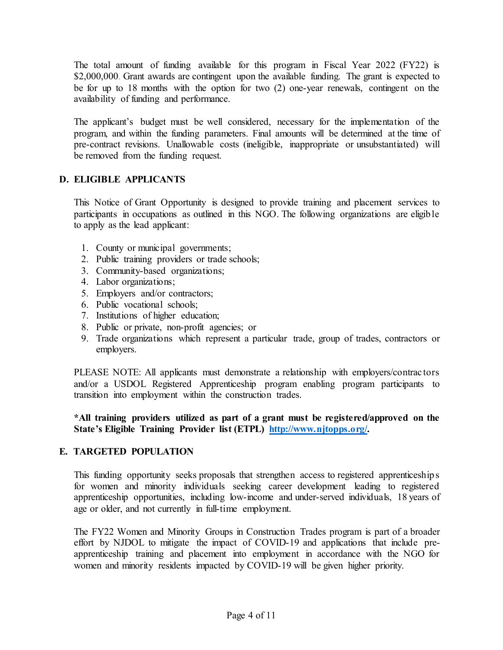The total amount of funding available for this program in Fiscal Year 2022 (FY22) is \$2,000,000. Grant awards are contingent upon the available funding. The grant is expected to be for up to 18 months with the option for two (2) one-year renewals, contingent on the availability of funding and performance.

The applicant's budget must be well considered, necessary for the implementation of the program, and within the funding parameters. Final amounts will be determined at the time of pre-contract revisions. Unallowable costs (ineligible, inappropriate or unsubstantiated) will be removed from the funding request.

#### **D. ELIGIBLE APPLICANTS**

This Notice of Grant Opportunity is designed to provide training and placement services to participants in occupations as outlined in this NGO. The following organizations are eligib le to apply as the lead applicant:

- 1. County or municipal governments;
- 2. Public training providers or trade schools;
- 3. Community-based organizations;
- 4. Labor organizations;
- 5. Employers and/or contractors;
- 6. Public vocational schools;
- 7. Institutions of higher education;
- 8. Public or private, non-profit agencies; or
- 9. Trade organizations which represent a particular trade, group of trades, contractors or employers.

PLEASE NOTE: All applicants must demonstrate a relationship with employers/contractors and/or a USDOL Registered Apprenticeship program enabling program participants to transition into employment within the construction trades.

#### **\*All training providers utilized as part of a grant must be registered/approved on the State's Eligible Training Provider list (ETPL) [http://www.njtopps.org/.](http://www.njtopps.org/)**

# **E. TARGETED POPULATION**

This funding opportunity seeks proposals that strengthen access to registered apprenticeship s for women and minority individuals seeking career development leading to registered apprenticeship opportunities, including low-income and under-served individuals, 18 years of age or older, and not currently in full-time employment.

The FY22 Women and Minority Groups in Construction Trades program is part of a broader effort by NJDOL to mitigate the impact of COVID-19 and applications that include preapprenticeship training and placement into employment in accordance with the NGO for women and minority residents impacted by COVID-19 will be given higher priority.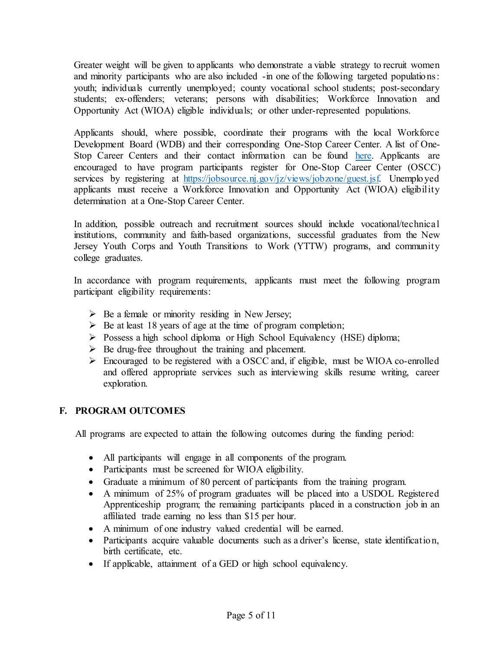Greater weight will be given to applicants who demonstrate a viable strategy to recruit women and minority participants who are also included -in one of the following targeted populations: youth; individuals currently unemployed; county vocational school students; post-secondary students; ex-offenders; veterans; persons with disabilities; Workforce Innovation and Opportunity Act (WIOA) eligible individuals; or other under-represented populations.

Applicants should, where possible, coordinate their programs with the local Workforce Development Board (WDB) and their corresponding One-Stop Career Center. A list of One-Stop Career Centers and their contact information can be found [here.](https://www.nj.gov/labor/career-services/virtualonestops.shtml) Applicants are encouraged to have program participants register for One-Stop Career Center (OSCC) services by registering at [https://jobsource.nj.gov/jz/views/jobzone/guest.jsf.](https://jobsource.nj.gov/jz/views/jobzone/guest.jsf) Unemployed applicants must receive a Workforce Innovation and Opportunity Act (WIOA) eligibility determination at a One-Stop Career Center.

In addition, possible outreach and recruitment sources should include vocational/technical institutions, community and faith-based organizations, successful graduates from the New Jersey Youth Corps and Youth Transitions to Work (YTTW) programs, and community college graduates.

In accordance with program requirements, applicants must meet the following program participant eligibility requirements:

- $\triangleright$  Be a female or minority residing in New Jersey;
- $\triangleright$  Be at least 18 years of age at the time of program completion;
- Possess a high school diploma or High School Equivalency (HSE) diploma;
- $\triangleright$  Be drug-free throughout the training and placement.
- Encouraged to be registered with a OSCC and, if eligible, must be WIOA co-enrolled and offered appropriate services such as interviewing skills resume writing, career exploration.

# **F. PROGRAM OUTCOMES**

All programs are expected to attain the following outcomes during the funding period:

- All participants will engage in all components of the program.
- Participants must be screened for WIOA eligibility.
- Graduate a minimum of 80 percent of participants from the training program.
- A minimum of 25% of program graduates will be placed into a USDOL Registered Apprenticeship program; the remaining participants placed in a construction job in an affiliated trade earning no less than \$15 per hour.
- A minimum of one industry valued credential will be earned.
- Participants acquire valuable documents such as a driver's license, state identification, birth certificate, etc.
- If applicable, attainment of a GED or high school equivalency.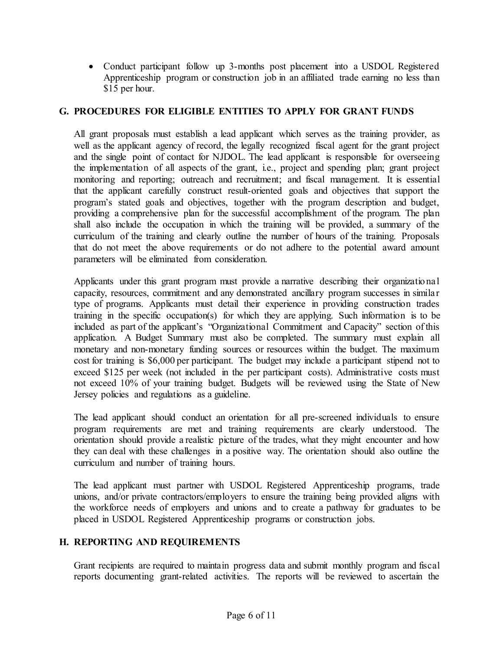• Conduct participant follow up 3-months post placement into a USDOL Registered Apprenticeship program or construction job in an affiliated trade earning no less than \$15 per hour.

### **G. PROCEDURES FOR ELIGIBLE ENTITIES TO APPLY FOR GRANT FUNDS**

All grant proposals must establish a lead applicant which serves as the training provider, as well as the applicant agency of record, the legally recognized fiscal agent for the grant project and the single point of contact for NJDOL. The lead applicant is responsible for overseeing the implementation of all aspects of the grant, i.e., project and spending plan; grant project monitoring and reporting; outreach and recruitment; and fiscal management. It is essential that the applicant carefully construct result-oriented goals and objectives that support the program's stated goals and objectives, together with the program description and budget, providing a comprehensive plan for the successful accomplishment of the program. The plan shall also include the occupation in which the training will be provided, a summary of the curriculum of the training and clearly outline the number of hours of the training. Proposals that do not meet the above requirements or do not adhere to the potential award amount parameters will be eliminated from consideration.

Applicants under this grant program must provide a narrative describing their organizatio nal capacity, resources, commitment and any demonstrated ancillary program successes in similar type of programs. Applicants must detail their experience in providing construction trades training in the specific occupation(s) for which they are applying. Such information is to be included as part of the applicant's "Organizational Commitment and Capacity" section of this application. A Budget Summary must also be completed. The summary must explain all monetary and non-monetary funding sources or resources within the budget. The maximum cost for training is \$6,000 per participant. The budget may include a participant stipend not to exceed \$125 per week (not included in the per participant costs). Administrative costs must not exceed 10% of your training budget. Budgets will be reviewed using the State of New Jersey policies and regulations as a guideline.

The lead applicant should conduct an orientation for all pre-screened individuals to ensure program requirements are met and training requirements are clearly understood. The orientation should provide a realistic picture of the trades, what they might encounter and how they can deal with these challenges in a positive way. The orientation should also outline the curriculum and number of training hours.

The lead applicant must partner with USDOL Registered Apprenticeship programs, trade unions, and/or private contractors/employers to ensure the training being provided aligns with the workforce needs of employers and unions and to create a pathway for graduates to be placed in USDOL Registered Apprenticeship programs or construction jobs.

#### **H. REPORTING AND REQUIREMENTS**

Grant recipients are required to maintain progress data and submit monthly program and fiscal reports documenting grant-related activities. The reports will be reviewed to ascertain the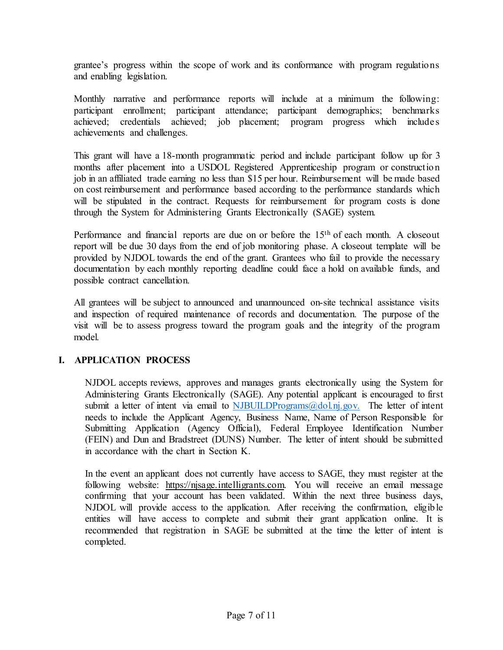grantee's progress within the scope of work and its conformance with program regulatio ns and enabling legislation.

Monthly narrative and performance reports will include at a minimum the following: participant enrollment; participant attendance; participant demographics; benchmarks achieved; credentials achieved; job placement; program progress which includes achievements and challenges.

This grant will have a 18-month programmatic period and include participant follow up for 3 months after placement into a USDOL Registered Apprenticeship program or constructio n job in an affiliated trade earning no less than \$15 per hour. Reimbursement will be made based on cost reimbursement and performance based according to the performance standards which will be stipulated in the contract. Requests for reimbursement for program costs is done through the System for Administering Grants Electronically (SAGE) system.

Performance and financial reports are due on or before the 15<sup>th</sup> of each month. A closeout report will be due 30 days from the end of job monitoring phase. A closeout template will be provided by NJDOL towards the end of the grant. Grantees who fail to provide the necessary documentation by each monthly reporting deadline could face a hold on available funds, and possible contract cancellation.

All grantees will be subject to announced and unannounced on-site technical assistance visits and inspection of required maintenance of records and documentation. The purpose of the visit will be to assess progress toward the program goals and the integrity of the program model.

# **I. APPLICATION PROCESS**

NJDOL accepts reviews, approves and manages grants electronically using the System for Administering Grants Electronically (SAGE). Any potential applicant is encouraged to first submit a letter of intent via email to NJBUILDPrograms $@d$ ol.nj.gov. The letter of intent needs to include the Applicant Agency, Business Name, Name of Person Responsible for Submitting Application (Agency Official), Federal Employee Identification Number (FEIN) and Dun and Bradstreet (DUNS) Number. The letter of intent should be submitted in accordance with the chart in Section K.

In the event an applicant does not currently have access to SAGE, they must register at the following website: [https://njsage.intelligrants.com.](https://njsage.intelligrants.com/Login2.aspx?APPTHEME=NJSAGE) You will receive an email message confirming that your account has been validated. Within the next three business days, NJDOL will provide access to the application. After receiving the confirmation, eligib le entities will have access to complete and submit their grant application online. It is recommended that registration in SAGE be submitted at the time the letter of intent is completed.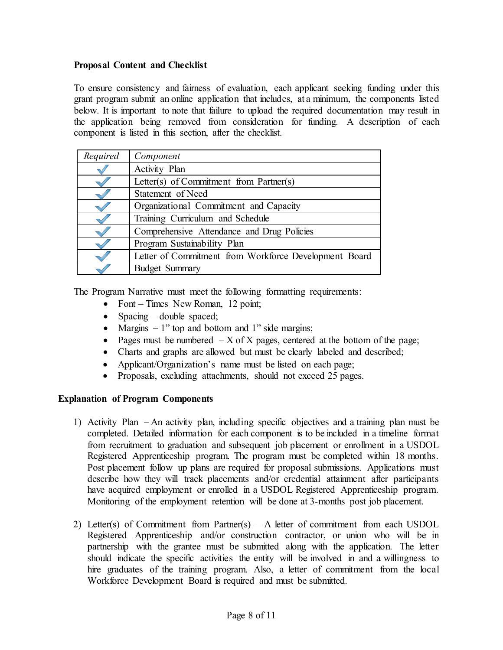### **Proposal Content and Checklist**

To ensure consistency and fairness of evaluation, each applicant seeking funding under this grant program submit an online application that includes, at a minimum, the components listed below. It is important to note that failure to upload the required documentation may result in the application being removed from consideration for funding. A description of each component is listed in this section, after the checklist.

| Required | Component                                             |
|----------|-------------------------------------------------------|
|          | Activity Plan                                         |
|          | Letter(s) of Commitment from Partner(s)               |
|          | Statement of Need                                     |
|          | Organizational Commitment and Capacity                |
|          | Training Curriculum and Schedule                      |
|          | Comprehensive Attendance and Drug Policies            |
|          | Program Sustainability Plan                           |
|          | Letter of Commitment from Workforce Development Board |
|          | <b>Budget Summary</b>                                 |

The Program Narrative must meet the following formatting requirements:

- Font Times New Roman, 12 point;
- Spacing double spaced;
- Margins  $-1$ " top and bottom and 1" side margins;
- Pages must be numbered  $-X$  of X pages, centered at the bottom of the page;
- Charts and graphs are allowed but must be clearly labeled and described;
- Applicant/Organization's name must be listed on each page;
- Proposals, excluding attachments, should not exceed 25 pages.

# **Explanation of Program Components**

- 1) [Activity Plan](http://lwd.dol.state.nj.us/labor/wioa/documents/NGO/FY17/AttachmentBActivityPlanBuildFY17.doc) [–](http://lwd.dol.state.nj.us/jobs4jersey/documents/NGO/FY15/AttachmentBthruD.doc) An activity plan, including specific objectives and a training plan must be completed. Detailed information for each component is to be included in a timeline format from recruitment to graduation and subsequent job placement or enrollment in a USDOL Registered Apprenticeship program. The program must be completed within 18 months. Post placement follow up plans are required for proposal submissions. Applications must describe how they will track placements and/or credential attainment after participants have acquired employment or enrolled in a USDOL Registered Apprenticeship program. Monitoring of the employment retention will be done at 3-months post job placement.
- 2) Letter(s) of Commitment from Partner(s) A letter of commitment from each USDOL Registered Apprenticeship and/or construction contractor, or union who will be in partnership with the grantee must be submitted along with the application. The letter should indicate the specific activities the entity will be involved in and a willingness to hire graduates of the training program. Also, a letter of commitment from the local Workforce Development Board is required and must be submitted.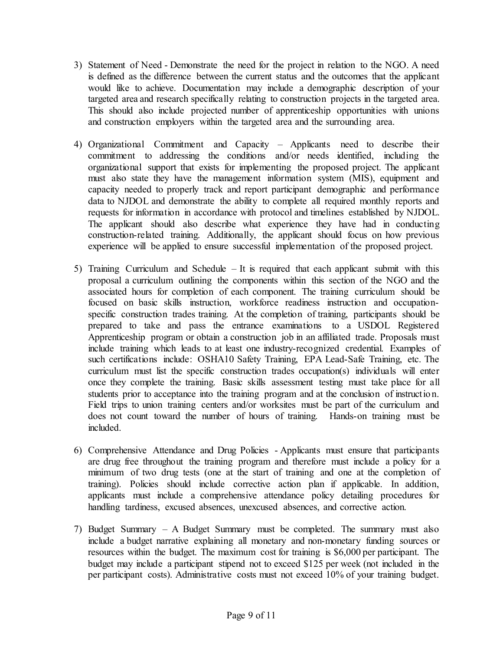- 3) Statement of Need Demonstrate the need for the project in relation to the NGO. A need is defined as the difference between the current status and the outcomes that the applicant would like to achieve. Documentation may include a demographic description of your targeted area and research specifically relating to construction projects in the targeted area. This should also include projected number of apprenticeship opportunities with unions and construction employers within the targeted area and the surrounding area.
- 4) Organizational Commitment and Capacity Applicants need to describe their commitment to addressing the conditions and/or needs identified, including the organizational support that exists for implementing the proposed project. The applicant must also state they have the management information system (MIS), equipment and capacity needed to properly track and report participant demographic and performance data to NJDOL and demonstrate the ability to complete all required monthly reports and requests for information in accordance with protocol and timelines established by NJDOL. The applicant should also describe what experience they have had in conducting construction-related training. Additionally, the applicant should focus on how previous experience will be applied to ensure successful implementation of the proposed project.
- 5) Training Curriculum and Schedule It is required that each applicant submit with this proposal a curriculum outlining the components within this section of the NGO and the associated hours for completion of each component. The training curriculum should be focused on basic skills instruction, workforce readiness instruction and occupationspecific construction trades training. At the completion of training, participants should be prepared to take and pass the entrance examinations to a USDOL Registered Apprenticeship program or obtain a construction job in an affiliated trade. Proposals must include training which leads to at least one industry-recognized credential. Examples of such certifications include: OSHA10 Safety Training, EPA Lead-Safe Training, etc. The curriculum must list the specific construction trades occupation(s) individuals will enter once they complete the training. Basic skills assessment testing must take place for all students prior to acceptance into the training program and at the conclusion of instructio n. Field trips to union training centers and/or worksites must be part of the curriculum and does not count toward the number of hours of training. Hands-on training must be included.
- 6) Comprehensive Attendance and Drug Policies Applicants must ensure that participants are drug free throughout the training program and therefore must include a policy for a minimum of two drug tests (one at the start of training and one at the completion of training). Policies should include corrective action plan if applicable. In addition, applicants must include a comprehensive attendance policy detailing procedures for handling tardiness, excused absences, unexcused absences, and corrective action.
- 7) [Budget Summary –](http://lwd.dol.state.nj.us/labor/wioa/documents/NGO/FY17/AttachmentCBudgetSummaryForm.xls) A Budget Summary must be completed. The summary must also include a budget narrative explaining all monetary and non-monetary funding sources or resources within the budget. The maximum cost for training is \$6,000 per participant. The budget may include a participant stipend not to exceed \$125 per week (not included in the per participant costs). Administrative costs must not exceed 10% of your training budget.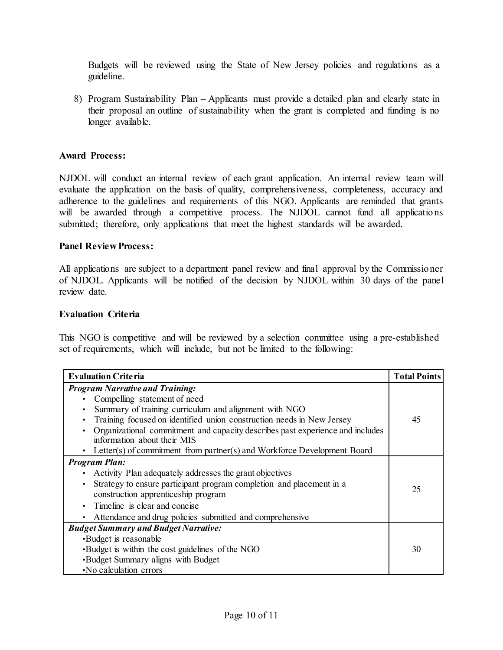Budgets will be reviewed using the State of New Jersey policies and regulations as a guideline.

8) [Program Sustainability Plan](http://lwd.dol.state.nj.us/labor/wioa/documents/NGO/FY17/AttachmentFUniversalGeneralProvisions.pdf) – Applicants must provide a detailed plan and clearly state in their proposal an outline of sustainability when the grant is completed and funding is no longer available.

#### **Award Process:**

NJDOL will conduct an internal review of each grant application. An internal review team will evaluate the application on the basis of quality, comprehensiveness, completeness, accuracy and adherence to the guidelines and requirements of this NGO. Applicants are reminded that grants will be awarded through a competitive process. The NJDOL cannot fund all applications submitted; therefore, only applications that meet the highest standards will be awarded.

#### **Panel Review Process:**

All applications are subject to a department panel review and final approval by the Commissio ner of NJDOL. Applicants will be notified of the decision by NJDOL within 30 days of the panel review date.

#### **Evaluation Criteria**

This NGO is competitive and will be reviewed by a selection committee using a pre-established set of requirements, which will include, but not be limited to the following:

| <b>Evaluation Criteria</b>                                                    |    |  |
|-------------------------------------------------------------------------------|----|--|
| <b>Program Narrative and Training:</b>                                        |    |  |
| Compelling statement of need                                                  |    |  |
| Summary of training curriculum and alignment with NGO                         |    |  |
| Training focused on identified union construction needs in New Jersey         | 45 |  |
| Organizational commitment and capacity describes past experience and includes |    |  |
| information about their MIS                                                   |    |  |
| Letter(s) of commitment from partner(s) and Workforce Development Board       |    |  |
| <b>Program Plan:</b>                                                          |    |  |
| Activity Plan adequately addresses the grant objectives                       |    |  |
| Strategy to ensure participant program completion and placement in a          | 25 |  |
| construction apprenticeship program                                           |    |  |
| Timeline is clear and concise                                                 |    |  |
| Attendance and drug policies submitted and comprehensive                      |    |  |
| <b>Budget Summary and Budget Narrative:</b>                                   |    |  |
| •Budget is reasonable                                                         |    |  |
| . Budget is within the cost guidelines of the NGO                             |    |  |
| •Budget Summary aligns with Budget                                            |    |  |
| . No calculation errors                                                       |    |  |